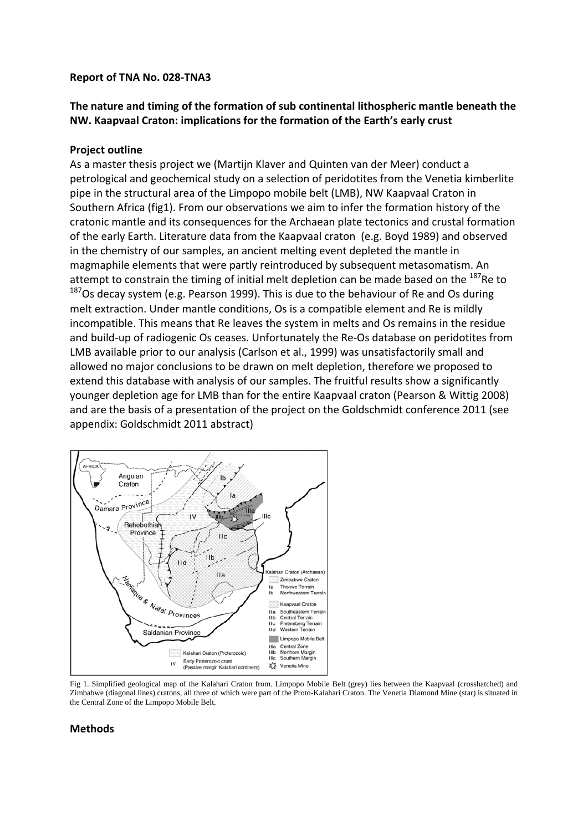### **Report of TNA No. 028‐TNA3**

# **The nature and timing of the formation of sub continental lithospheric mantle beneath the NW. Kaapvaal Craton: implications for the formation of the Earth's early crust**

## **Project outline**

As a master thesis project we (Martijn Klaver and Quinten van der Meer) conduct a petrological and geochemical study on a selection of peridotites from the Venetia kimberlite pipe in the structural area of the Limpopo mobile belt (LMB), NW Kaapvaal Craton in Southern Africa (fig1). From our observations we aim to infer the formation history of the cratonic mantle and its consequences for the Archaean plate tectonics and crustal formation of the early Earth. Literature data from the Kaapvaal craton (e.g. Boyd 1989) and observed in the chemistry of our samples, an ancient melting event depleted the mantle in magmaphile elements that were partly reintroduced by subsequent metasomatism. An attempt to constrain the timing of initial melt depletion can be made based on the <sup>187</sup>Re to <sup>187</sup>Os decay system (e.g. Pearson 1999). This is due to the behaviour of Re and Os during melt extraction. Under mantle conditions, Os is a compatible element and Re is mildly incompatible. This means that Re leaves the system in melts and Os remains in the residue and build-up of radiogenic Os ceases. Unfortunately the Re-Os database on peridotites from LMB available prior to our analysis (Carlson et al., 1999) was unsatisfactorily small and allowed no major conclusions to be drawn on melt depletion, therefore we proposed to extend this database with analysis of our samples. The fruitful results show a significantly younger depletion age for LMB than for the entire Kaapvaal craton (Pearson & Wittig 2008) and are the basis of a presentation of the project on the Goldschmidt conference 2011 (see appendix: Goldschmidt 2011 abstract)



Fig 1. Simplified geological map of the Kalahari Craton from. Limpopo Mobile Belt (grey) lies between the Kaapvaal (crosshatched) and Zimbabwe (diagonal lines) cratons, all three of which were part of the Proto-Kalahari Craton. The Venetia Diamond Mine (star) is situated in the Central Zone of the Limpopo Mobile Belt.

## **Methods**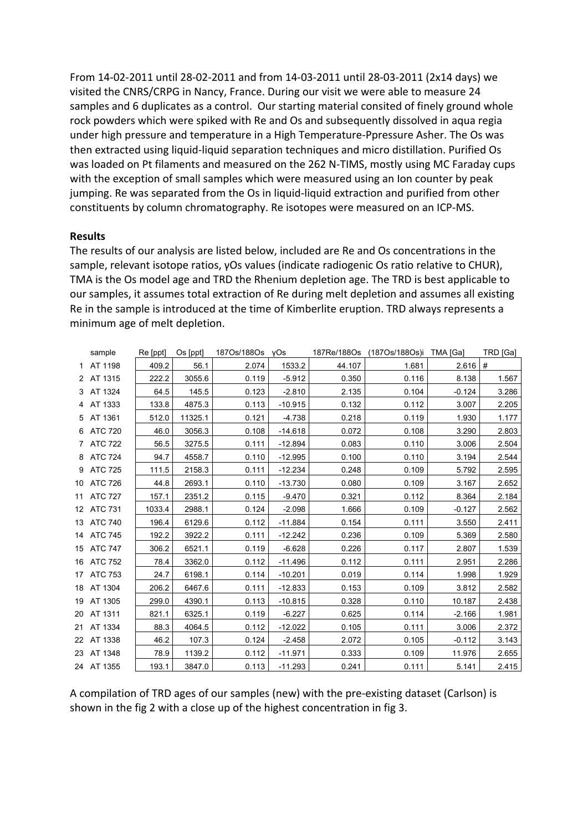From 14‐02‐2011 until 28‐02‐2011 and from 14‐03‐2011 until 28‐03‐2011 (2x14 days) we visited the CNRS/CRPG in Nancy, France. During our visit we were able to measure 24 samples and 6 duplicates as a control. Our starting material consited of finely ground whole rock powders which were spiked with Re and Os and subsequently dissolved in aqua regia under high pressure and temperature in a High Temperature‐Ppressure Asher. The Os was then extracted using liquid‐liquid separation techniques and micro distillation. Purified Os was loaded on Pt filaments and measured on the 262 N-TIMS, mostly using MC Faraday cups with the exception of small samples which were measured using an Ion counter by peak jumping. Re was separated from the Os in liquid-liquid extraction and purified from other constituents by column chromatography. Re isotopes were measured on an ICP‐MS.

### **Results**

The results of our analysis are listed below, included are Re and Os concentrations in the sample, relevant isotope ratios, γOs values (indicate radiogenic Os ratio relative to CHUR), TMA is the Os model age and TRD the Rhenium depletion age. The TRD is best applicable to our samples, it assumes total extraction of Re during melt depletion and assumes all existing Re in the sample is introduced at the time of Kimberlite eruption. TRD always represents a minimum age of melt depletion.

| sample     | Re [ppt] | Os [ppt] | 1870s/1880s | vOs       | 187Re/188Os | (1870s/1880s)i | TMA [Ga]  | TRD [Ga] |
|------------|----------|----------|-------------|-----------|-------------|----------------|-----------|----------|
| 1 AT 1198  | 409.2    | 56.1     | 2.074       | 1533.2    | 44.107      | 1.681          | $2.616$ # |          |
| 2 AT 1315  | 222.2    | 3055.6   | 0.119       | $-5.912$  | 0.350       | 0.116          | 8.138     | 1.567    |
| 3 AT 1324  | 64.5     | 145.5    | 0.123       | $-2.810$  | 2.135       | 0.104          | $-0.124$  | 3.286    |
| 4 AT 1333  | 133.8    | 4875.3   | 0.113       | $-10.915$ | 0.132       | 0.112          | 3.007     | 2.205    |
| 5 AT 1361  | 512.0    | 11325.1  | 0.121       | $-4.738$  | 0.218       | 0.119          | 1.930     | 1.177    |
| 6 ATC 720  | 46.0     | 3056.3   | 0.108       | $-14.618$ | 0.072       | 0.108          | 3.290     | 2.803    |
| 7 ATC 722  | 56.5     | 3275.5   | 0.111       | $-12.894$ | 0.083       | 0.110          | 3.006     | 2.504    |
| 8 ATC 724  | 94.7     | 4558.7   | 0.110       | $-12.995$ | 0.100       | 0.110          | 3.194     | 2.544    |
| 9 ATC 725  | 111.5    | 2158.3   | 0.111       | $-12.234$ | 0.248       | 0.109          | 5.792     | 2.595    |
| 10 ATC 726 | 44.8     | 2693.1   | 0.110       | $-13.730$ | 0.080       | 0.109          | 3.167     | 2.652    |
| 11 ATC 727 | 157.1    | 2351.2   | 0.115       | $-9.470$  | 0.321       | 0.112          | 8.364     | 2.184    |
| 12 ATC 731 | 1033.4   | 2988.1   | 0.124       | $-2.098$  | 1.666       | 0.109          | $-0.127$  | 2.562    |
| 13 ATC 740 | 196.4    | 6129.6   | 0.112       | $-11.884$ | 0.154       | 0.111          | 3.550     | 2.411    |
| 14 ATC 745 | 192.2    | 3922.2   | 0.111       | $-12.242$ | 0.236       | 0.109          | 5.369     | 2.580    |
| 15 ATC 747 | 306.2    | 6521.1   | 0.119       | $-6.628$  | 0.226       | 0.117          | 2.807     | 1.539    |
| 16 ATC 752 | 78.4     | 3362.0   | 0.112       | $-11.496$ | 0.112       | 0.111          | 2.951     | 2.286    |
| 17 ATC 753 | 24.7     | 6198.1   | 0.114       | $-10.201$ | 0.019       | 0.114          | 1.998     | 1.929    |
| 18 AT 1304 | 206.2    | 6467.6   | 0.111       | $-12.833$ | 0.153       | 0.109          | 3.812     | 2.582    |
| 19 AT 1305 | 299.0    | 4390.1   | 0.113       | $-10.815$ | 0.328       | 0.110          | 10.187    | 2.438    |
| 20 AT 1311 | 821.1    | 6325.1   | 0.119       | $-6.227$  | 0.625       | 0.114          | $-2.166$  | 1.981    |
| 21 AT 1334 | 88.3     | 4064.5   | 0.112       | $-12.022$ | 0.105       | 0.111          | 3.006     | 2.372    |
| 22 AT 1338 | 46.2     | 107.3    | 0.124       | $-2.458$  | 2.072       | 0.105          | $-0.112$  | 3.143    |
| 23 AT 1348 | 78.9     | 1139.2   | 0.112       | $-11.971$ | 0.333       | 0.109          | 11.976    | 2.655    |
| 24 AT 1355 | 193.1    | 3847.0   | 0.113       | $-11.293$ | 0.241       | 0.111          | 5.141     | 2.415    |

A compilation of TRD ages of our samples (new) with the pre‐existing dataset (Carlson) is shown in the fig 2 with a close up of the highest concentration in fig 3.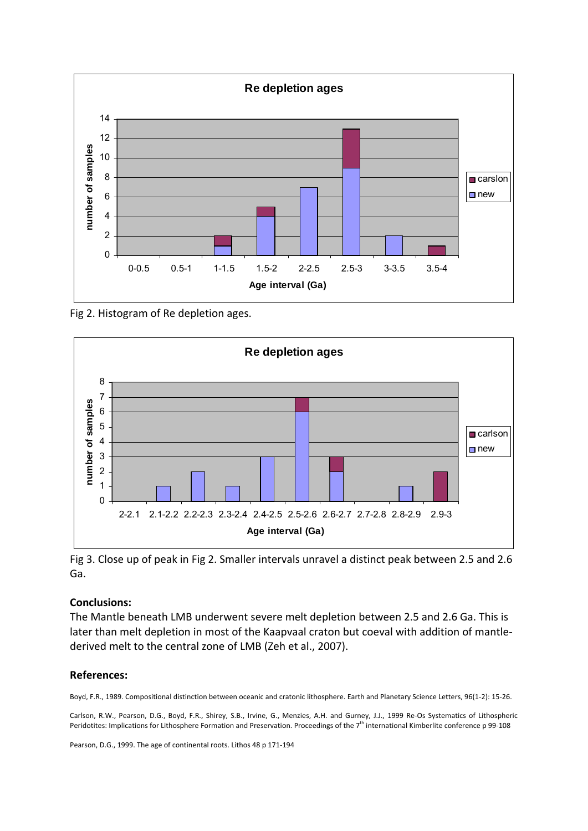

Fig 2. Histogram of Re depletion ages.



Fig 3. Close up of peak in Fig 2. Smaller intervals unravel a distinct peak between 2.5 and 2.6 Ga.

## **Conclusions:**

The Mantle beneath LMB underwent severe melt depletion between 2.5 and 2.6 Ga. This is later than melt depletion in most of the Kaapvaal craton but coeval with addition of mantle‐ derived melt to the central zone of LMB (Zeh et al., 2007).

### **References:**

Boyd, F.R., 1989. Compositional distinction between oceanic and cratonic lithosphere. Earth and Planetary Science Letters, 96(1‐2): 15‐26.

Carlson, R.W., Pearson, D.G., Boyd, F.R., Shirey, S.B., Irvine, G., Menzies, A.H. and Gurney, J.J., 1999 Re‐Os Systematics of Lithospheric Peridotites: Implications for Lithosphere Formation and Preservation. Proceedings of the 7<sup>th</sup> international Kimberlite conference p 99-108

Pearson, D.G., 1999. The age of continental roots. Lithos 48 p 171‐194